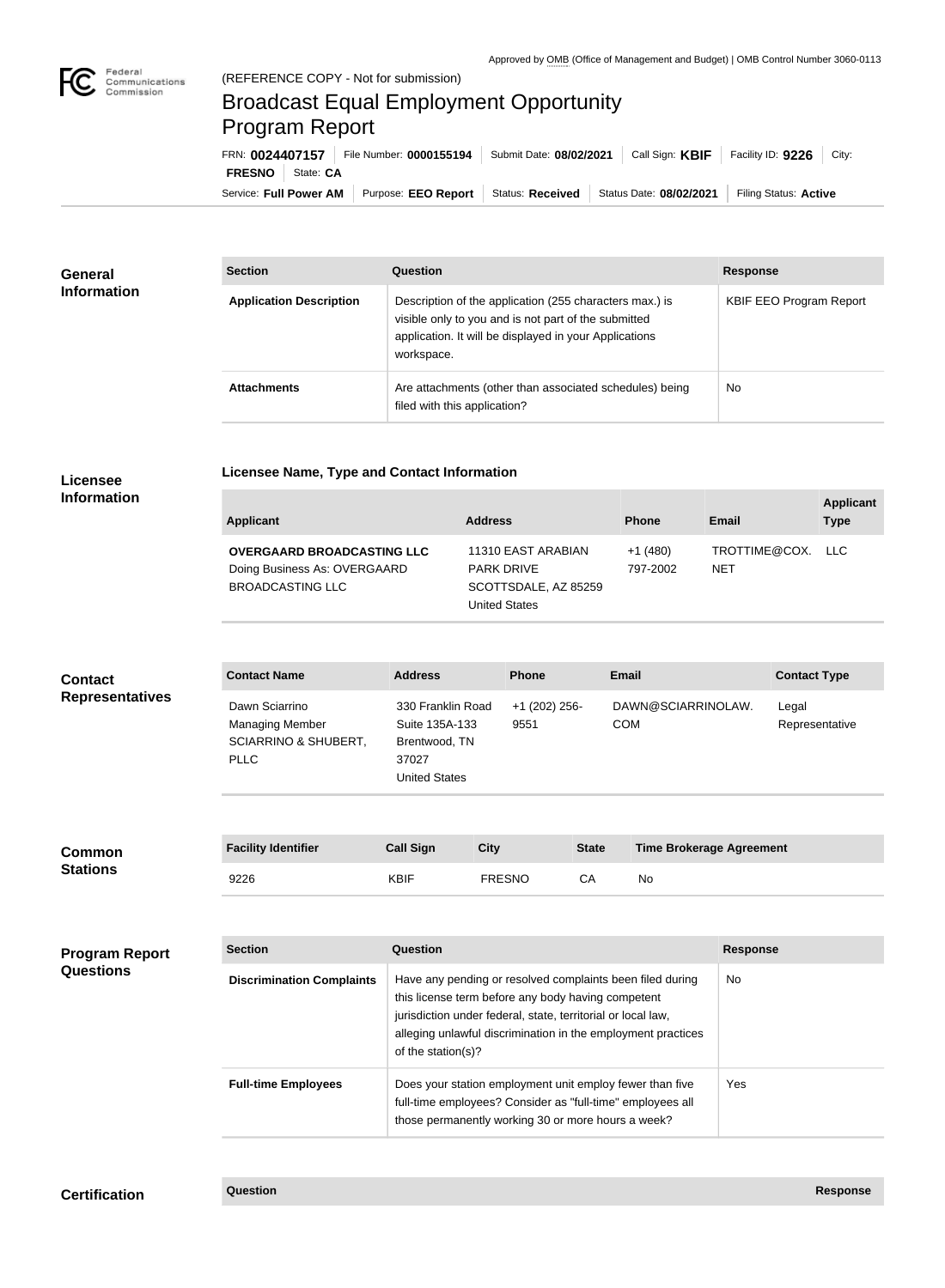

## Broadcast Equal Employment Opportunity Program Report

**Licensee Name, Type and Contact Information**

Service: Full Power AM | Purpose: EEO Report | Status: Received | Status Date: 08/02/2021 | Filing Status: Active **FRESNO** State: **CA** FRN: **0024407157** File Number: **0000155194** Submit Date: **08/02/2021** Call Sign: **KBIF** Facility ID: **9226** City:

| <b>General</b><br><b>Information</b> | <b>Section</b>                 | <b>Question</b>                                                                                                                                                                         | <b>Response</b>                |
|--------------------------------------|--------------------------------|-----------------------------------------------------------------------------------------------------------------------------------------------------------------------------------------|--------------------------------|
|                                      | <b>Application Description</b> | Description of the application (255 characters max.) is<br>visible only to you and is not part of the submitted<br>application. It will be displayed in your Applications<br>workspace. | <b>KBIF EEO Program Report</b> |
|                                      | <b>Attachments</b>             | Are attachments (other than associated schedules) being<br>filed with this application?                                                                                                 | <b>No</b>                      |

## **Licensee Information**

| Applicant                                                                                    | <b>Address</b>                                                                          | <b>Phone</b>          | Email                    | <b>Applicant</b><br><b>Type</b> |
|----------------------------------------------------------------------------------------------|-----------------------------------------------------------------------------------------|-----------------------|--------------------------|---------------------------------|
| <b>OVERGAARD BROADCASTING LLC</b><br>Doing Business As: OVERGAARD<br><b>BROADCASTING LLC</b> | 11310 EAST ARABIAN<br><b>PARK DRIVE</b><br>SCOTTSDALE, AZ 85259<br><b>United States</b> | $+1(480)$<br>797-2002 | TROTTIME@COX. LLC<br>NET |                                 |

| <b>Contact</b><br><b>Representatives</b> | <b>Contact Name</b>                                                                        | <b>Address</b>                                                                        | <b>Phone</b>                 | <b>Email</b>                                                                  | <b>Contact Type</b>     |
|------------------------------------------|--------------------------------------------------------------------------------------------|---------------------------------------------------------------------------------------|------------------------------|-------------------------------------------------------------------------------|-------------------------|
|                                          | Dawn Sciarrino<br><b>Managing Member</b><br><b>SCIARRINO &amp; SHUBERT,</b><br><b>PLLC</b> | 330 Franklin Road<br>Suite 135A-133<br>Brentwood, TN<br>37027<br><b>United States</b> | +1 (202) 256-<br>9551        | DAWN@SCIARRINOLAW.<br><b>COM</b>                                              | Legal<br>Representative |
| <b>Common</b><br><b>Stations</b>         | <b>Facility Identifier</b><br>0.000                                                        | <b>Call Sign</b><br>1/51F                                                             | <b>City</b><br><b>FREAMA</b> | <b>State</b><br><b>Time Brokerage Agreement</b><br>$\sim$ $\sim$<br><b>AL</b> |                         |

| mon | <b>Facility Identifier</b> | <b>Call Sign</b> | City   | <b>State</b> | <b>Time Brokerage Agreement</b> |
|-----|----------------------------|------------------|--------|--------------|---------------------------------|
| ons | 9226                       | <b>KBIF</b>      | FRESNO |              | No                              |

| <b>Program Report</b><br><b>Questions</b> | <b>Section</b>                   | Question                                                                                                                                                                                                                                                              | <b>Response</b> |
|-------------------------------------------|----------------------------------|-----------------------------------------------------------------------------------------------------------------------------------------------------------------------------------------------------------------------------------------------------------------------|-----------------|
|                                           | <b>Discrimination Complaints</b> | Have any pending or resolved complaints been filed during<br>this license term before any body having competent<br>jurisdiction under federal, state, territorial or local law,<br>alleging unlawful discrimination in the employment practices<br>of the station(s)? | <b>No</b>       |
|                                           | <b>Full-time Employees</b>       | Does your station employment unit employ fewer than five<br>full-time employees? Consider as "full-time" employees all<br>those permanently working 30 or more hours a week?                                                                                          | Yes:            |

## **Certification Question Response**